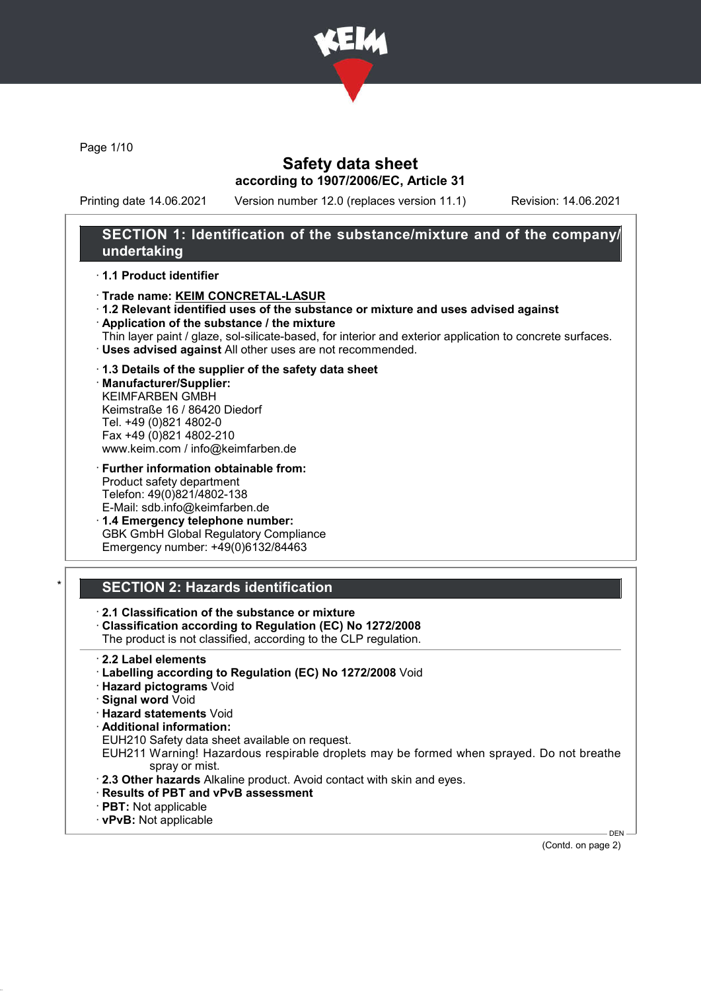

Page 1/10

## Safety data sheet according to 1907/2006/EC, Article 31

Printing date 14.06.2021 Version number 12.0 (replaces version 11.1) Revision: 14.06.2021

## SECTION 1: Identification of the substance/mixture and of the company/ undertaking

#### · 1.1 Product identifier

- · Trade name: KEIM CONCRETAL-LASUR
- · 1.2 Relevant identified uses of the substance or mixture and uses advised against
- · Application of the substance / the mixture
- Thin layer paint / glaze, sol-silicate-based, for interior and exterior application to concrete surfaces. · Uses advised against All other uses are not recommended.

#### · 1.3 Details of the supplier of the safety data sheet

· Manufacturer/Supplier: KEIMFARBEN GMBH Keimstraße 16 / 86420 Diedorf Tel. +49 (0)821 4802-0 Fax +49 (0)821 4802-210 www.keim.com / info@keimfarben.de

· Further information obtainable from: Product safety department Telefon: 49(0)821/4802-138 E-Mail: sdb.info@keimfarben.de

· 1.4 Emergency telephone number: GBK GmbH Global Regulatory Compliance Emergency number: +49(0)6132/84463

## **SECTION 2: Hazards identification**

· 2.1 Classification of the substance or mixture

- · Classification according to Regulation (EC) No 1272/2008
- The product is not classified, according to the CLP regulation.
- · 2.2 Label elements
- · Labelling according to Regulation (EC) No 1272/2008 Void
- · Hazard pictograms Void
- · Signal word Void
- · Hazard statements Void
- · Additional information:
- EUH210 Safety data sheet available on request.
- EUH211 Warning! Hazardous respirable droplets may be formed when sprayed. Do not breathe spray or mist.
- · 2.3 Other hazards Alkaline product. Avoid contact with skin and eyes.
- · Results of PBT and vPvB assessment
- · PBT: Not applicable
- · vPvB: Not applicable

(Contd. on page 2)

DEN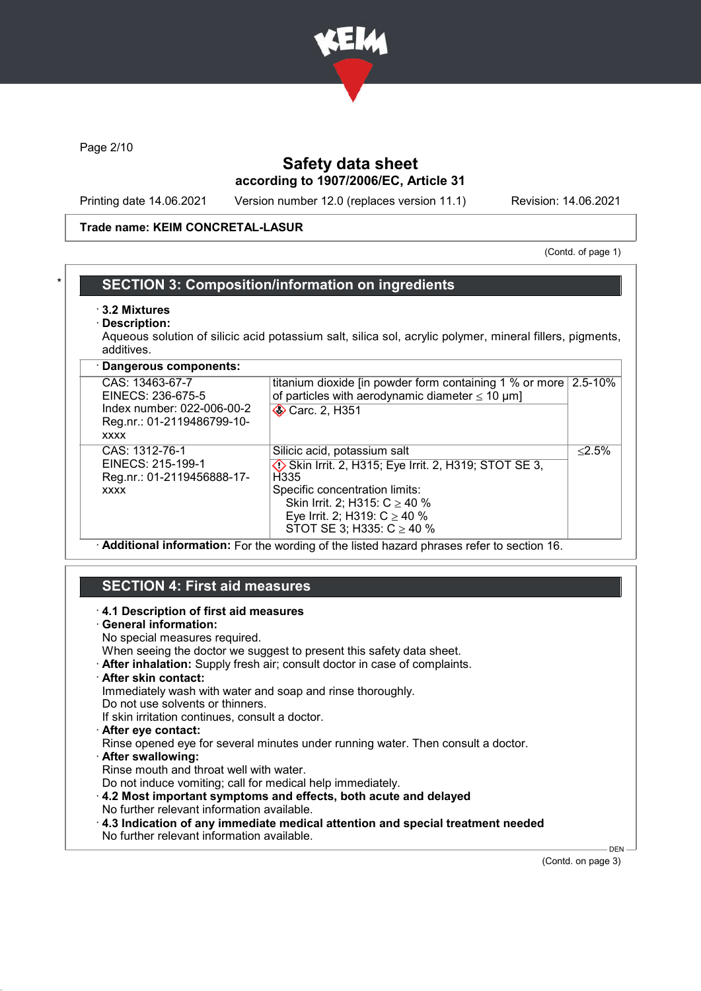

Page 2/10

## Safety data sheet according to 1907/2006/EC, Article 31

Printing date 14.06.2021 Version number 12.0 (replaces version 11.1) Revision: 14.06.2021

#### Trade name: KEIM CONCRETAL-LASUR

(Contd. of page 1)

## **SECTION 3: Composition/information on ingredients**

- · 3.2 Mixtures
- Description:

Aqueous solution of silicic acid potassium salt, silica sol, acrylic polymer, mineral fillers, pigments, additives.

| · Dangerous components:                                                                                         |                                                                                                                                                                                                                                                     |             |
|-----------------------------------------------------------------------------------------------------------------|-----------------------------------------------------------------------------------------------------------------------------------------------------------------------------------------------------------------------------------------------------|-------------|
| CAS: 13463-67-7<br>EINECS: 236-675-5<br>Index number: 022-006-00-2<br>Reg.nr.: 01-2119486799-10-<br><b>XXXX</b> | titanium dioxide [in powder form containing 1 % or more<br>of particles with aerodynamic diameter $\leq 10 \mu m$ ]<br><b>◆ Carc. 2, H351</b>                                                                                                       | $2.5 - 10%$ |
| CAS: 1312-76-1<br>EINECS: 215-199-1<br>Reg.nr.: 01-2119456888-17-<br><b>XXXX</b>                                | Silicic acid, potassium salt<br>Skin Irrit. 2, H315; Eye Irrit. 2, H319; STOT SE 3,<br>H <sub>335</sub><br>Specific concentration limits:<br>Skin Irrit. 2; H315: $C \ge 40$ %<br>Eye Irrit. 2; H319: $C \ge 40$ %<br>STOT SE 3; H335: $C \ge 40$ % | $< 2.5\%$   |

· Additional information: For the wording of the listed hazard phrases refer to section 16.

## SECTION 4: First aid measures

#### · 4.1 Description of first aid measures

· General information:

No special measures required.

- When seeing the doctor we suggest to present this safety data sheet.
- · After inhalation: Supply fresh air; consult doctor in case of complaints.
- · After skin contact:

Immediately wash with water and soap and rinse thoroughly.

Do not use solvents or thinners. If skin irritation continues, consult a doctor.

- After eve contact:
- Rinse opened eye for several minutes under running water. Then consult a doctor.
- After swallowing:

Rinse mouth and throat well with water.

- Do not induce vomiting; call for medical help immediately.
- · 4.2 Most important symptoms and effects, both acute and delayed No further relevant information available.
- · 4.3 Indication of any immediate medical attention and special treatment needed No further relevant information available.

(Contd. on page 3)

DEN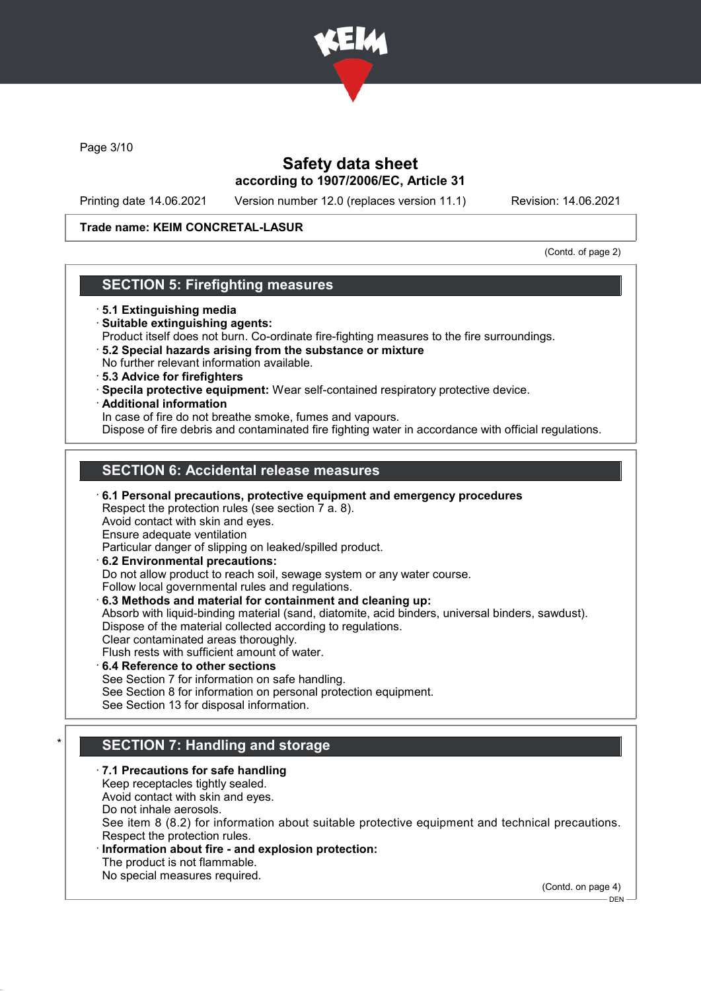

Page 3/10

## Safety data sheet according to 1907/2006/EC, Article 31

Printing date 14.06.2021 Version number 12.0 (replaces version 11.1) Revision: 14.06.2021

#### Trade name: KEIM CONCRETAL-LASUR

(Contd. of page 2)

## SECTION 5: Firefighting measures

- · 5.1 Extinguishing media
- · Suitable extinguishing agents:
- Product itself does not burn. Co-ordinate fire-fighting measures to the fire surroundings.
- · 5.2 Special hazards arising from the substance or mixture No further relevant information available.
- · 5.3 Advice for firefighters
- · Specila protective equipment: Wear self-contained respiratory protective device.
- · Additional information

In case of fire do not breathe smoke, fumes and vapours.

Dispose of fire debris and contaminated fire fighting water in accordance with official regulations.

## SECTION 6: Accidental release measures

- · 6.1 Personal precautions, protective equipment and emergency procedures Respect the protection rules (see section 7 a. 8). Avoid contact with skin and eyes. Ensure adequate ventilation Particular danger of slipping on leaked/spilled product. · 6.2 Environmental precautions: Do not allow product to reach soil, sewage system or any water course.
	- Follow local governmental rules and regulations.
- · 6.3 Methods and material for containment and cleaning up:

Absorb with liquid-binding material (sand, diatomite, acid binders, universal binders, sawdust). Dispose of the material collected according to regulations. Clear contaminated areas thoroughly.

- Flush rests with sufficient amount of water.
- · 6.4 Reference to other sections See Section 7 for information on safe handling. See Section 8 for information on personal protection equipment. See Section 13 for disposal information.

# SECTION 7: Handling and storage

· 7.1 Precautions for safe handling

Keep receptacles tightly sealed.

Avoid contact with skin and eyes.

Do not inhale aerosols.

See item 8 (8.2) for information about suitable protective equipment and technical precautions. Respect the protection rules.

- Information about fire and explosion protection:
- The product is not flammable.

No special measures required.

(Contd. on page 4)

 $-$  DEN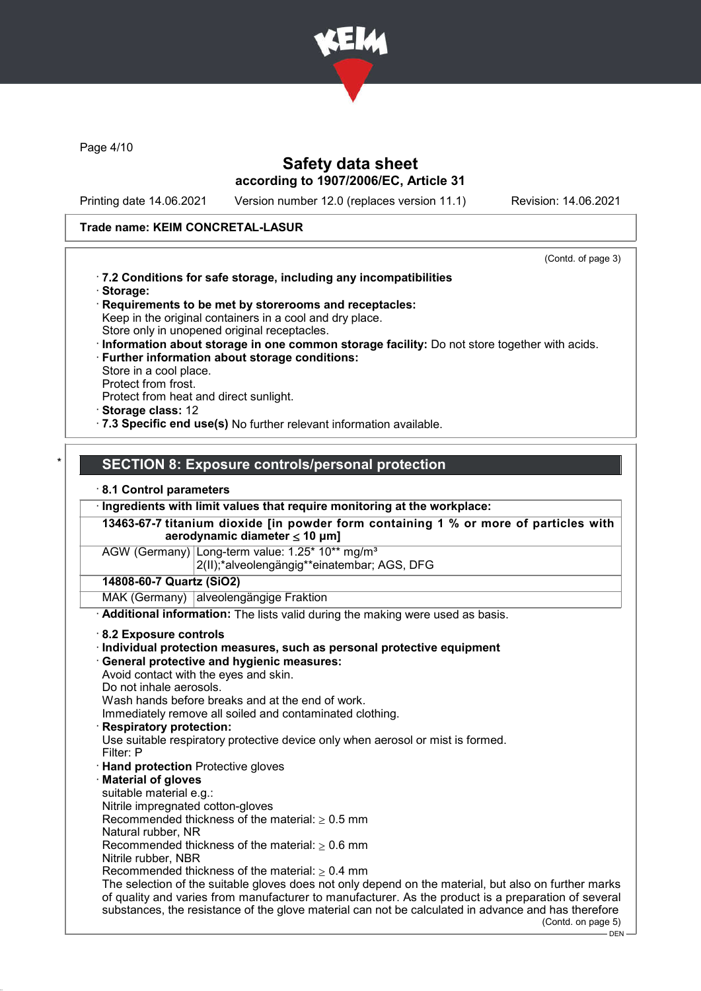

Page 4/10

## Safety data sheet according to 1907/2006/EC, Article 31

Printing date 14.06.2021 Version number 12.0 (replaces version 11.1) Revision: 14.06.2021

#### Trade name: KEIM CONCRETAL-LASUR

(Contd. of page 3)

- · 7.2 Conditions for safe storage, including any incompatibilities · Storage:
- · Requirements to be met by storerooms and receptacles: Keep in the original containers in a cool and dry place. Store only in unopened original receptacles.
- · Information about storage in one common storage facility: Do not store together with acids.
- · Further information about storage conditions: Store in a cool place. Protect from frost.
- Protect from heat and direct sunlight.
- · Storage class: 12
- · 7.3 Specific end use(s) No further relevant information available.

#### SECTION 8: Exposure controls/personal protection

#### · 8.1 Control parameters

· Ingredients with limit values that require monitoring at the workplace:

13463-67-7 titanium dioxide [in powder form containing 1 % or more of particles with aerodynamic diameter ≤ 10 μm]

AGW (Germany) Long-term value: 1.25\* 10\*\* ma/m<sup>3</sup>

2(II);\*alveolengängig\*\*einatembar; AGS, DFG

#### 14808-60-7 Quartz (SiO2)

MAK (Germany) alveolengängige Fraktion

· Additional information: The lists valid during the making were used as basis.

#### · 8.2 Exposure controls

- · Individual protection measures, such as personal protective equipment
- · General protective and hygienic measures:

Avoid contact with the eyes and skin.

Do not inhale aerosols.

Wash hands before breaks and at the end of work.

Immediately remove all soiled and contaminated clothing.

**Respiratory protection:** 

Use suitable respiratory protective device only when aerosol or mist is formed.

- Filter: P
- · Hand protection Protective gloves
- **Material of gloves**
- suitable material e.g.:
- Nitrile impregnated cotton-gloves

Recommended thickness of the material:  $> 0.5$  mm

Natural rubber, NR

Recommended thickness of the material:  $> 0.6$  mm Nitrile rubber, NBR

Recommended thickness of the material:  $> 0.4$  mm

The selection of the suitable gloves does not only depend on the material, but also on further marks of quality and varies from manufacturer to manufacturer. As the product is a preparation of several substances, the resistance of the glove material can not be calculated in advance and has therefore (Contd. on page 5)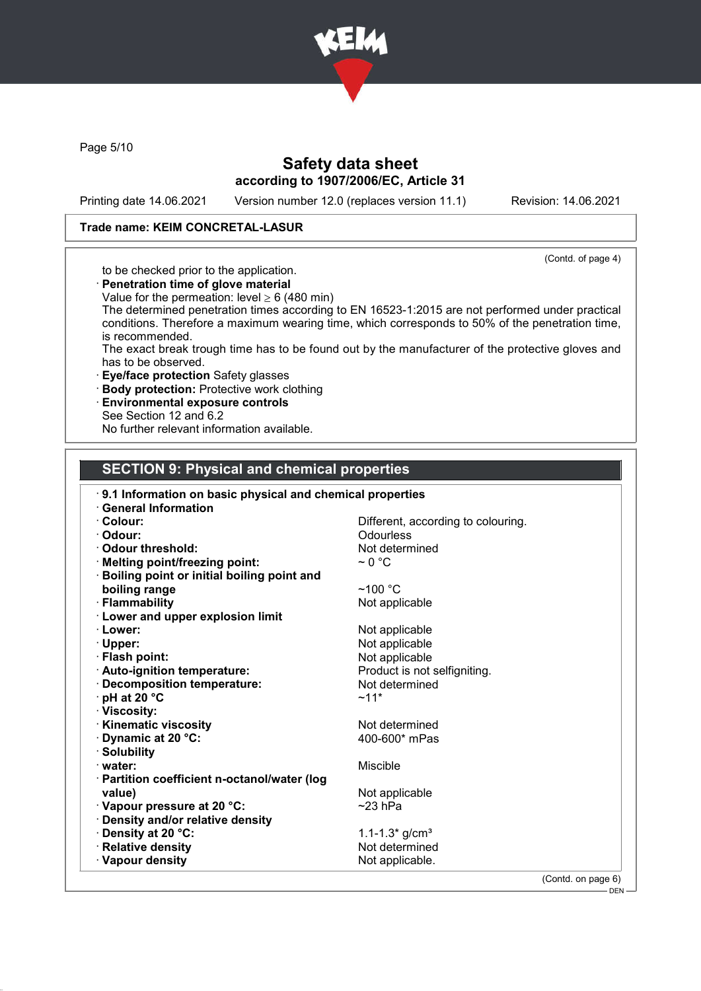

Page 5/10

## Safety data sheet according to 1907/2006/EC, Article 31

Printing date 14.06.2021 Version number 12.0 (replaces version 11.1) Revision: 14.06.2021

## Trade name: KEIM CONCRETAL-LASUR

(Contd. of page 4)

to be checked prior to the application.

- · Penetration time of glove material
- Value for the permeation: level  $\geq 6$  (480 min)

The determined penetration times according to EN 16523-1:2015 are not performed under practical conditions. Therefore a maximum wearing time, which corresponds to 50% of the penetration time, is recommended.

The exact break trough time has to be found out by the manufacturer of the protective gloves and has to be observed.

- · Eye/face protection Safety glasses
- · Body protection: Protective work clothing
- · Environmental exposure controls
- See Section 12 and 6.2

No further relevant information available.

#### SECTION 9: Physical and chemical properties

| 9.1 Information on basic physical and chemical properties |                                    |
|-----------------------------------------------------------|------------------------------------|
| <b>General Information</b>                                |                                    |
| · Colour:                                                 | Different, according to colouring. |
| · Odour:                                                  | Odourless                          |
| Odour threshold:                                          | Not determined                     |
| · Melting point/freezing point:                           | $\sim$ 0 °C                        |
| <b>Boiling point or initial boiling point and</b>         |                                    |
| boiling range                                             | $~100~{\rm ^{\circ}C}$             |
| · Flammability                                            | Not applicable                     |
| <b>Lower and upper explosion limit</b>                    |                                    |
| · Lower:                                                  | Not applicable                     |
| $\cdot$ Upper:                                            | Not applicable                     |
| · Flash point:                                            | Not applicable                     |
| · Auto-ignition temperature:                              | Product is not selfigniting.       |
| · Decomposition temperature:                              | Not determined                     |
| $\cdot$ pH at 20 $\degree$ C                              | $~11*$                             |
| · Viscosity:                                              |                                    |
| <b>Kinematic viscosity</b>                                | Not determined                     |
| <b>Dynamic at 20 °C:</b>                                  | 400-600* mPas                      |
| · Solubility                                              |                                    |
| water:                                                    | Miscible                           |
| · Partition coefficient n-octanol/water (log              |                                    |
| value)                                                    | Not applicable                     |
| · Vapour pressure at 20 °C:                               | $~23$ hPa                          |
| · Density and/or relative density                         |                                    |
| · Density at 20 °C:                                       | 1.1-1.3* $g/cm^{3}$                |
| · Relative density                                        | Not determined                     |
| · Vapour density                                          | Not applicable.                    |
|                                                           | $(Contol$ on page $6)$             |

(Contd. on page 6)

 $-$  DEN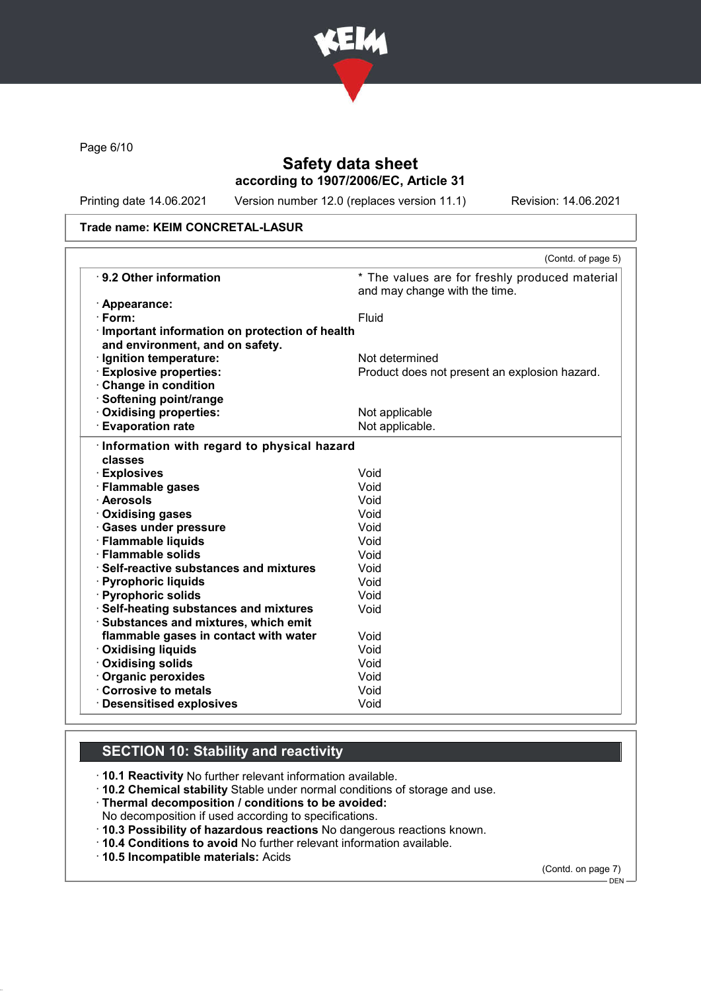

Page 6/10

## Safety data sheet according to 1907/2006/EC, Article 31

Printing date 14.06.2021 Version number 12.0 (replaces version 11.1) Revision: 14.06.2021

#### Trade name: KEIM CONCRETAL-LASUR

|                                               | (Contd. of page 5)                                                              |
|-----------------------------------------------|---------------------------------------------------------------------------------|
| ⋅ 9.2 Other information                       | * The values are for freshly produced material<br>and may change with the time. |
| · Appearance:                                 |                                                                                 |
| $\cdot$ Form:                                 | Fluid                                                                           |
| Important information on protection of health |                                                                                 |
| and environment, and on safety.               |                                                                                 |
| Ignition temperature:                         | Not determined                                                                  |
| <b>Explosive properties:</b>                  | Product does not present an explosion hazard.                                   |
| Change in condition                           |                                                                                 |
| · Softening point/range                       |                                                                                 |
| Oxidising properties:                         | Not applicable                                                                  |
| <b>Evaporation rate</b>                       | Not applicable.                                                                 |
| classes                                       | Void                                                                            |
| · Explosives                                  |                                                                                 |
| · Flammable gases                             | Void                                                                            |
| · Aerosols                                    | Void                                                                            |
| · Oxidising gases                             | Void                                                                            |
| · Gases under pressure                        | Void                                                                            |
| · Flammable liquids                           | Void                                                                            |
| · Flammable solids                            | Void                                                                            |
| · Self-reactive substances and mixtures       | Void                                                                            |
| · Pyrophoric liquids                          | Void                                                                            |
| · Pyrophoric solids                           | Void                                                                            |
| · Self-heating substances and mixtures        | Void                                                                            |
| Substances and mixtures, which emit           |                                                                                 |
| flammable gases in contact with water         | Void                                                                            |
| <b>Oxidising liquids</b>                      | Void                                                                            |
| · Oxidising solids                            | Void                                                                            |
| Organic peroxides                             | Void                                                                            |
| Corrosive to metals                           | Void                                                                            |
| <b>Desensitised explosives</b>                | Void                                                                            |

## SECTION 10: Stability and reactivity

· 10.1 Reactivity No further relevant information available.

- · 10.2 Chemical stability Stable under normal conditions of storage and use.
- · Thermal decomposition / conditions to be avoided:
- No decomposition if used according to specifications.
- · 10.3 Possibility of hazardous reactions No dangerous reactions known.
- · 10.4 Conditions to avoid No further relevant information available.
- · 10.5 Incompatible materials: Acids

(Contd. on page 7)

<sup>–&</sup>lt;br>— DEN-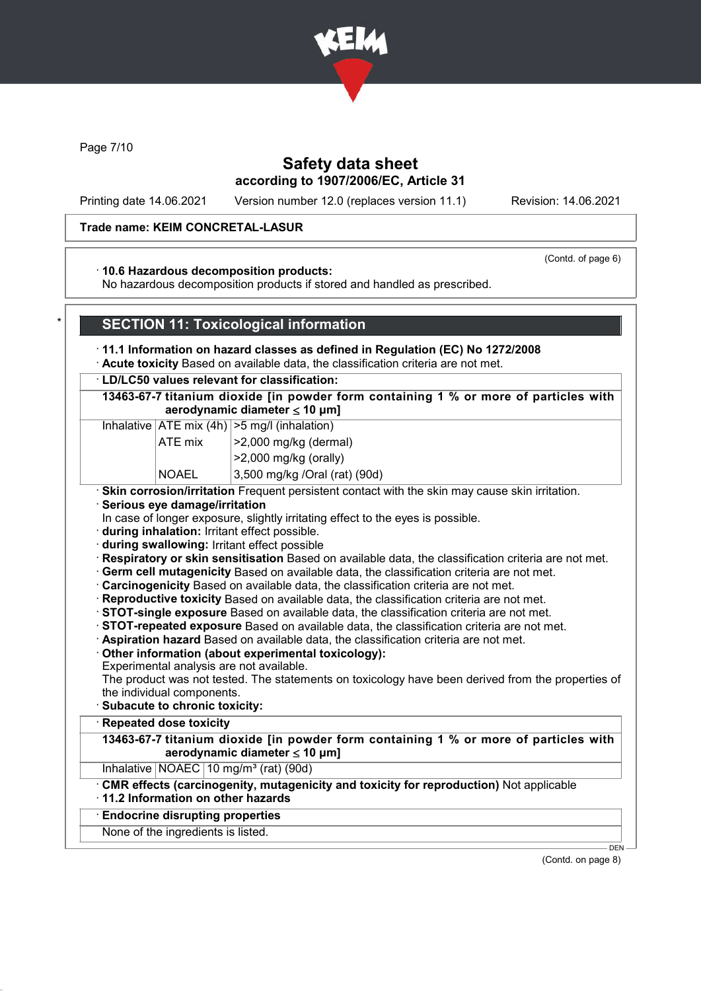

Page 7/10

## Safety data sheet according to 1907/2006/EC, Article 31

Printing date 14.06.2021 Version number 12.0 (replaces version 11.1) Revision: 14.06.2021

#### Trade name: KEIM CONCRETAL-LASUR

#### (Contd. of page 6)

#### · 10.6 Hazardous decomposition products:

No hazardous decomposition products if stored and handled as prescribed.

### **SECTION 11: Toxicological information**

## · 11.1 Information on hazard classes as defined in Regulation (EC) No 1272/2008

· Acute toxicity Based on available data, the classification criteria are not met.

#### · LD/LC50 values relevant for classification:

13463-67-7 titanium dioxide [in powder form containing 1 % or more of particles with aerodynamic diameter  $\leq 10 \mu m$ ]

#### Inhalative  $|ATE \text{ mix } (4h) | > 5 \text{ mg/l } (inhalation)$

| ATE mix                                     | $ >2,000$ mg/kg (dermal)  |
|---------------------------------------------|---------------------------|
|                                             | $ >$ 2,000 mg/kg (orally) |
| $\lambda$ $\sim$ $\lambda$ $\sim$ $\lambda$ | 0.500110101<br>$\sqrt{2}$ |

NOAEL 3,500 mg/kg /Oral (rat) (90d)

## · Skin corrosion/irritation Frequent persistent contact with the skin may cause skin irritation.

- · Serious eye damage/irritation
- In case of longer exposure, slightly irritating effect to the eyes is possible.
- · during inhalation: Irritant effect possible.
- · during swallowing: Irritant effect possible

· Respiratory or skin sensitisation Based on available data, the classification criteria are not met.

- · Germ cell mutagenicity Based on available data, the classification criteria are not met.
- · Carcinogenicity Based on available data, the classification criteria are not met.
- · Reproductive toxicity Based on available data, the classification criteria are not met.
- · STOT-single exposure Based on available data, the classification criteria are not met.
- · STOT-repeated exposure Based on available data, the classification criteria are not met.
- · Aspiration hazard Based on available data, the classification criteria are not met.
- · Other information (about experimental toxicology):
- Experimental analysis are not available.

The product was not tested. The statements on toxicology have been derived from the properties of the individual components.

· Subacute to chronic toxicity:

## **Repeated dose toxicity**

13463-67-7 titanium dioxide [in powder form containing 1 % or more of particles with aerodynamic diameter ≤ 10 μm]

Inhalative  $NOAEC$  10 mg/m<sup>3</sup> (rat) (90d)

· CMR effects (carcinogenity, mutagenicity and toxicity for reproduction) Not applicable

# · 11.2 Information on other hazards

## · Endocrine disrupting properties

None of the ingredients is listed.

(Contd. on page 8)

DEN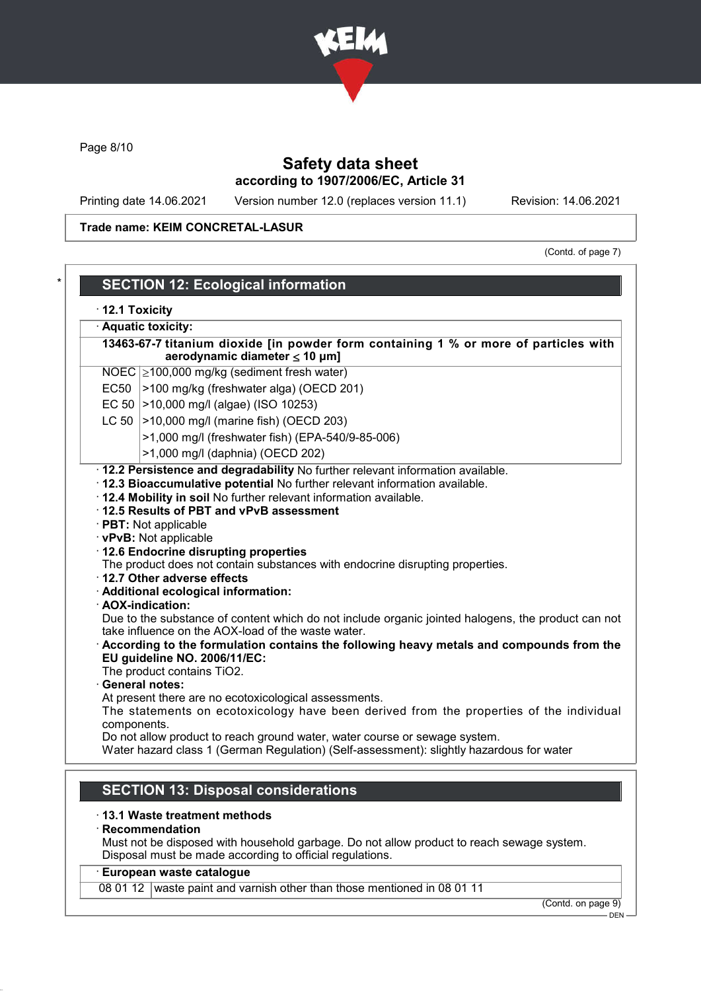

Page 8/10

## Safety data sheet according to 1907/2006/EC, Article 31

Printing date 14.06.2021 Version number 12.0 (replaces version 11.1) Revision: 14.06.2021

## Trade name: KEIM CONCRETAL-LASUR

(Contd. of page 7)

| 13463-67-7 titanium dioxide [in powder form containing 1 % or more of particles with<br>aerodynamic diameter $\leq 10$ µm] |  |
|----------------------------------------------------------------------------------------------------------------------------|--|
| NOEC $\geq$ 100,000 mg/kg (sediment fresh water)                                                                           |  |
| EC50 >100 mg/kg (freshwater alga) (OECD 201)                                                                               |  |
| EC 50 $ >$ 10,000 mg/l (algae) (ISO 10253)                                                                                 |  |
| LC 50   > 10,000 mg/l (marine fish) (OECD 203)                                                                             |  |
| >1,000 mg/l (freshwater fish) (EPA-540/9-85-006)                                                                           |  |
| >1,000 mg/l (daphnia) (OECD 202)                                                                                           |  |
| · 12.2 Persistence and degradability No further relevant information available.                                            |  |
| · 12.3 Bioaccumulative potential No further relevant information available.                                                |  |
| . 12.4 Mobility in soil No further relevant information available.                                                         |  |
| 12.5 Results of PBT and vPvB assessment                                                                                    |  |
| · PBT: Not applicable                                                                                                      |  |
| · vPvB: Not applicable                                                                                                     |  |
| · 12.6 Endocrine disrupting properties                                                                                     |  |
| The product does not contain substances with endocrine disrupting properties.                                              |  |
| 12.7 Other adverse effects<br>· Additional ecological information:                                                         |  |
| · AOX-indication:                                                                                                          |  |
| Due to the substance of content which do not include organic jointed halogens, the product can not                         |  |
| take influence on the AOX-load of the waste water.                                                                         |  |
|                                                                                                                            |  |
| According to the formulation contains the following heavy metals and compounds from the                                    |  |
| EU guideline NO. 2006/11/EC:                                                                                               |  |
| The product contains TiO2.                                                                                                 |  |
| · General notes:                                                                                                           |  |
| At present there are no ecotoxicological assessments.                                                                      |  |
| The statements on ecotoxicology have been derived from the properties of the individual                                    |  |
| components.<br>Do not allow product to reach ground water, water course or sewage system.                                  |  |

Disposal must be made according to official regulations.

#### · European waste catalogue

08 01 12 waste paint and varnish other than those mentioned in 08 01 11

(Contd. on page 9)

DEN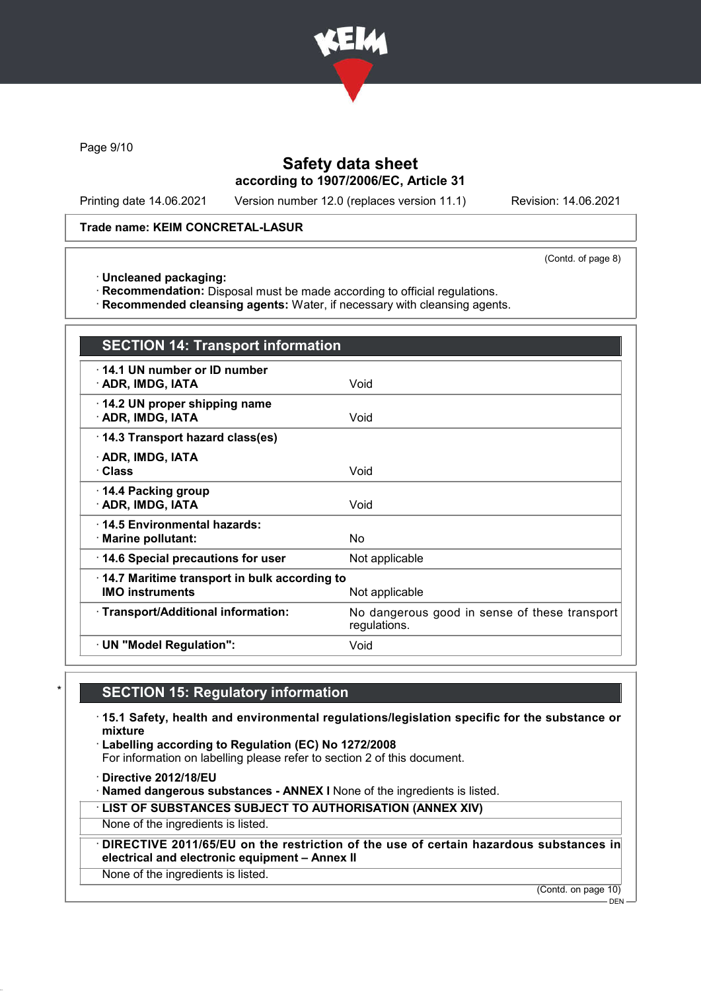

Page 9/10

## Safety data sheet according to 1907/2006/EC, Article 31

Printing date 14.06.2021 Version number 12.0 (replaces version 11.1) Revision: 14.06.2021

#### Trade name: KEIM CONCRETAL-LASUR

(Contd. of page 8)

· Uncleaned packaging:

· Recommendation: Disposal must be made according to official regulations.

· Recommended cleansing agents: Water, if necessary with cleansing agents.

| <b>SECTION 14: Transport information</b>                                                 |                                                               |  |
|------------------------------------------------------------------------------------------|---------------------------------------------------------------|--|
| 14.1 UN number or ID number<br>· ADR, IMDG, IATA                                         | Void                                                          |  |
| 14.2 UN proper shipping name<br>· ADR, IMDG, IATA                                        | Void                                                          |  |
| 14.3 Transport hazard class(es)                                                          |                                                               |  |
| · ADR, IMDG, IATA<br>· Class                                                             | Void                                                          |  |
| 14.4 Packing group<br>· ADR, IMDG, IATA                                                  | Void                                                          |  |
| 14.5 Environmental hazards:<br>· Marine pollutant:                                       | <b>No</b>                                                     |  |
| 14.6 Special precautions for user                                                        | Not applicable                                                |  |
| 14.7 Maritime transport in bulk according to<br><b>IMO instruments</b><br>Not applicable |                                                               |  |
| · Transport/Additional information:                                                      | No dangerous good in sense of these transport<br>regulations. |  |
| · UN "Model Regulation":                                                                 | Void                                                          |  |

# **SECTION 15: Regulatory information**

· 15.1 Safety, health and environmental regulations/legislation specific for the substance or mixture

· Labelling according to Regulation (EC) No 1272/2008

For information on labelling please refer to section 2 of this document.

· Directive 2012/18/EU

· Named dangerous substances - ANNEX I None of the ingredients is listed.

· LIST OF SUBSTANCES SUBJECT TO AUTHORISATION (ANNEX XIV)

None of the ingredients is listed.

DIRECTIVE 2011/65/EU on the restriction of the use of certain hazardous substances in electrical and electronic equipment – Annex II

None of the ingredients is listed.

(Contd. on page 10)

DEN